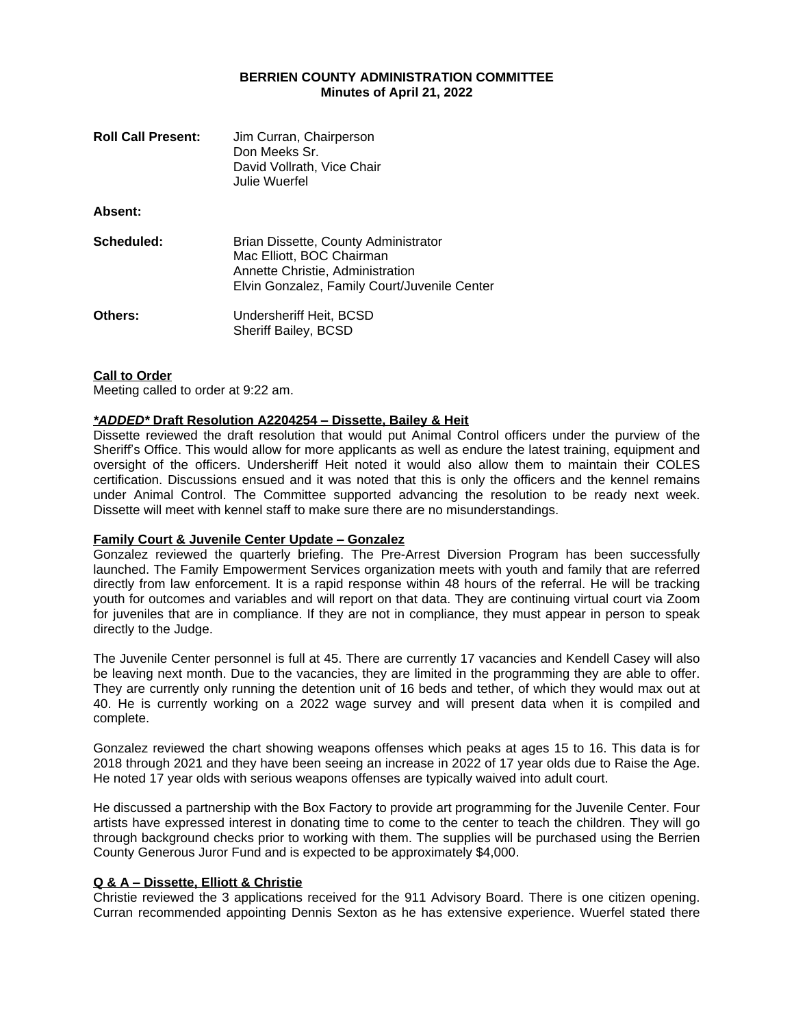### **BERRIEN COUNTY ADMINISTRATION COMMITTEE Minutes of April 21, 2022**

| <b>Roll Call Present:</b> | Jim Curran, Chairperson<br>Don Meeks Sr.<br>David Vollrath, Vice Chair<br>Julie Wuerfel                                                               |
|---------------------------|-------------------------------------------------------------------------------------------------------------------------------------------------------|
| Absent:                   |                                                                                                                                                       |
| Scheduled:                | Brian Dissette, County Administrator<br>Mac Elliott, BOC Chairman<br>Annette Christie, Administration<br>Elvin Gonzalez, Family Court/Juvenile Center |
| <b>Others:</b>            | Undersheriff Heit, BCSD<br><b>Sheriff Bailey, BCSD</b>                                                                                                |

#### **Call to Order**

Meeting called to order at 9:22 am.

# *\*ADDED\** **Draft Resolution A2204254 – Dissette, Bailey & Heit**

Dissette reviewed the draft resolution that would put Animal Control officers under the purview of the Sheriff's Office. This would allow for more applicants as well as endure the latest training, equipment and oversight of the officers. Undersheriff Heit noted it would also allow them to maintain their COLES certification. Discussions ensued and it was noted that this is only the officers and the kennel remains under Animal Control. The Committee supported advancing the resolution to be ready next week. Dissette will meet with kennel staff to make sure there are no misunderstandings.

# **Family Court & Juvenile Center Update – Gonzalez**

Gonzalez reviewed the quarterly briefing. The Pre-Arrest Diversion Program has been successfully launched. The Family Empowerment Services organization meets with youth and family that are referred directly from law enforcement. It is a rapid response within 48 hours of the referral. He will be tracking youth for outcomes and variables and will report on that data. They are continuing virtual court via Zoom for juveniles that are in compliance. If they are not in compliance, they must appear in person to speak directly to the Judge.

The Juvenile Center personnel is full at 45. There are currently 17 vacancies and Kendell Casey will also be leaving next month. Due to the vacancies, they are limited in the programming they are able to offer. They are currently only running the detention unit of 16 beds and tether, of which they would max out at 40. He is currently working on a 2022 wage survey and will present data when it is compiled and complete.

Gonzalez reviewed the chart showing weapons offenses which peaks at ages 15 to 16. This data is for 2018 through 2021 and they have been seeing an increase in 2022 of 17 year olds due to Raise the Age. He noted 17 year olds with serious weapons offenses are typically waived into adult court.

He discussed a partnership with the Box Factory to provide art programming for the Juvenile Center. Four artists have expressed interest in donating time to come to the center to teach the children. They will go through background checks prior to working with them. The supplies will be purchased using the Berrien County Generous Juror Fund and is expected to be approximately \$4,000.

### **Q & A – Dissette, Elliott & Christie**

Christie reviewed the 3 applications received for the 911 Advisory Board. There is one citizen opening. Curran recommended appointing Dennis Sexton as he has extensive experience. Wuerfel stated there